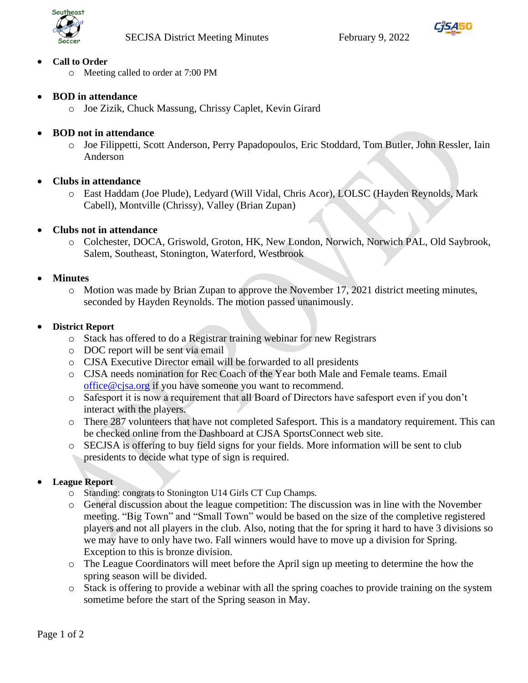



### • **Call to Order**

- o Meeting called to order at 7:00 PM
- **BOD in attendance**
	- o Joe Zizik, Chuck Massung, Chrissy Caplet, Kevin Girard
- **BOD not in attendance**
	- o Joe Filippetti, Scott Anderson, Perry Papadopoulos, Eric Stoddard, Tom Butler, John Ressler, Iain Anderson
- **Clubs in attendance**
	- o East Haddam (Joe Plude), Ledyard (Will Vidal, Chris Acor), LOLSC (Hayden Reynolds, Mark Cabell), Montville (Chrissy), Valley (Brian Zupan)

### • **Clubs not in attendance**

o Colchester, DOCA, Griswold, Groton, HK, New London, Norwich, Norwich PAL, Old Saybrook, Salem, Southeast, Stonington, Waterford, Westbrook

### • **Minutes**

o Motion was made by Brian Zupan to approve the November 17, 2021 district meeting minutes, seconded by Hayden Reynolds. The motion passed unanimously.

### • **District Report**

- o Stack has offered to do a Registrar training webinar for new Registrars
- o DOC report will be sent via email
- o CJSA Executive Director email will be forwarded to all presidents
- o CJSA needs nomination for Rec Coach of the Year both Male and Female teams. Email [office@cjsa.org](mailto:office@cjsa.org) if you have someone you want to recommend.
- o Safesport it is now a requirement that all Board of Directors have safesport even if you don't interact with the players.
- o There 287 volunteers that have not completed Safesport. This is a mandatory requirement. This can be checked online from the Dashboard at CJSA SportsConnect web site.
- o SECJSA is offering to buy field signs for your fields. More information will be sent to club presidents to decide what type of sign is required.
- **League Report**
	- o Standing: congrats to Stonington U14 Girls CT Cup Champs.
	- o General discussion about the league competition: The discussion was in line with the November meeting. "Big Town" and "Small Town" would be based on the size of the completive registered players and not all players in the club. Also, noting that the for spring it hard to have 3 divisions so we may have to only have two. Fall winners would have to move up a division for Spring. Exception to this is bronze division.
	- o The League Coordinators will meet before the April sign up meeting to determine the how the spring season will be divided.
	- o Stack is offering to provide a webinar with all the spring coaches to provide training on the system sometime before the start of the Spring season in May.